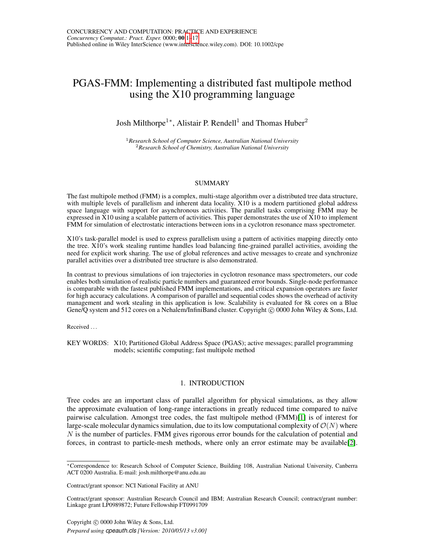# <span id="page-0-0"></span>PGAS-FMM: Implementing a distributed fast multipole method using the X10 programming language

## Josh Milthorpe<sup>1</sup>\*, Alistair P. Rendell<sup>1</sup> and Thomas Huber<sup>2</sup>

<sup>1</sup>*Research School of Computer Science, Australian National University* <sup>2</sup>*Research School of Chemistry, Australian National University*

#### SUMMARY

The fast multipole method (FMM) is a complex, multi-stage algorithm over a distributed tree data structure, with multiple levels of parallelism and inherent data locality. X10 is a modern partitioned global address space language with support for asynchronous activities. The parallel tasks comprising FMM may be expressed in X10 using a scalable pattern of activities. This paper demonstrates the use of X10 to implement FMM for simulation of electrostatic interactions between ions in a cyclotron resonance mass spectrometer.

X10's task-parallel model is used to express parallelism using a pattern of activities mapping directly onto the tree. X10's work stealing runtime handles load balancing fine-grained parallel activities, avoiding the need for explicit work sharing. The use of global references and active messages to create and synchronize parallel activities over a distributed tree structure is also demonstrated.

In contrast to previous simulations of ion trajectories in cyclotron resonance mass spectrometers, our code enables both simulation of realistic particle numbers and guaranteed error bounds. Single-node performance is comparable with the fastest published FMM implementations, and critical expansion operators are faster for high accuracy calculations. A comparison of parallel and sequential codes shows the overhead of activity management and work stealing in this application is low. Scalability is evaluated for 8k cores on a Blue Gene/Q system and 512 cores on a Nehalem/InfiniBand cluster. Copyright © 0000 John Wiley & Sons, Ltd.

Received .

KEY WORDS: X10; Partitioned Global Address Space (PGAS); active messages; parallel programming models; scientific computing; fast multipole method

#### 1. INTRODUCTION

Tree codes are an important class of parallel algorithm for physical simulations, as they allow the approximate evaluation of long-range interactions in greatly reduced time compared to naïve pairwise calculation. Amongst tree codes, the fast multipole method (FMM)[\[1\]](#page-15-0) is of interest for large-scale molecular dynamics simulation, due to its low computational complexity of  $\mathcal{O}(N)$  where N is the number of particles. FMM gives rigorous error bounds for the calculation of potential and forces, in contrast to particle-mesh methods, where only an error estimate may be available[\[2\]](#page-15-1).

<sup>∗</sup>Correspondence to: Research School of Computer Science, Building 108, Australian National University, Canberra ACT 0200 Australia. E-mail: josh.milthorpe@anu.edu.au

Contract/grant sponsor: NCI National Facility at ANU

Contract/grant sponsor: Australian Research Council and IBM; Australian Research Council; contract/grant number: Linkage grant LP0989872; Future Fellowship FT0991709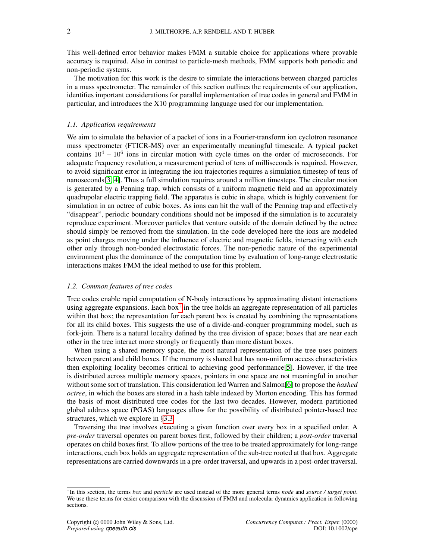This well-defined error behavior makes FMM a suitable choice for applications where provable accuracy is required. Also in contrast to particle-mesh methods, FMM supports both periodic and non-periodic systems.

The motivation for this work is the desire to simulate the interactions between charged particles in a mass spectrometer. The remainder of this section outlines the requirements of our application, identifies important considerations for parallel implementation of tree codes in general and FMM in particular, and introduces the X10 programming language used for our implementation.

#### <span id="page-1-1"></span>*1.1. Application requirements*

We aim to simulate the behavior of a packet of ions in a Fourier-transform ion cyclotron resonance mass spectrometer (FTICR-MS) over an experimentally meaningful timescale. A typical packet contains  $10^4 - 10^6$  ions in circular motion with cycle times on the order of microseconds. For adequate frequency resolution, a measurement period of tens of milliseconds is required. However, to avoid significant error in integrating the ion trajectories requires a simulation timestep of tens of nanoseconds[\[3,](#page-15-2) [4\]](#page-15-3). Thus a full simulation requires around a million timesteps. The circular motion is generated by a Penning trap, which consists of a uniform magnetic field and an approximately quadrupolar electric trapping field. The apparatus is cubic in shape, which is highly convenient for simulation in an octree of cubic boxes. As ions can hit the wall of the Penning trap and effectively "disappear", periodic boundary conditions should not be imposed if the simulation is to accurately reproduce experiment. Moreover particles that venture outside of the domain defined by the octree should simply be removed from the simulation. In the code developed here the ions are modeled as point charges moving under the influence of electric and magnetic fields, interacting with each other only through non-bonded electrostatic forces. The non-periodic nature of the experimental environment plus the dominance of the computation time by evaluation of long-range electrostatic interactions makes FMM the ideal method to use for this problem.

#### *1.2. Common features of tree codes*

Tree codes enable rapid computation of N-body interactions by approximating distant interactions using aggregate expansions. Each box<sup> $\dagger$ </sup> in the tree holds an aggregate representation of all particles within that box; the representation for each parent box is created by combining the representations for all its child boxes. This suggests the use of a divide-and-conquer programming model, such as fork-join. There is a natural locality defined by the tree division of space; boxes that are near each other in the tree interact more strongly or frequently than more distant boxes.

When using a shared memory space, the most natural representation of the tree uses pointers between parent and child boxes. If the memory is shared but has non-uniform access characteristics then exploiting locality becomes critical to achieving good performance[\[5\]](#page-15-4). However, if the tree is distributed across multiple memory spaces, pointers in one space are not meaningful in another without some sort of translation. This consideration led Warren and Salmon[\[6\]](#page-15-5) to propose the *hashed octree*, in which the boxes are stored in a hash table indexed by Morton encoding. This has formed the basis of most distributed tree codes for the last two decades. However, modern partitioned global address space (PGAS) languages allow for the possibility of distributed pointer-based tree structures, which we explore in §[3.3.](#page-5-0)

Traversing the tree involves executing a given function over every box in a specified order. A *pre-order* traversal operates on parent boxes first, followed by their children; a *post-order* traversal operates on child boxes first. To allow portions of the tree to be treated approximately for long-range interactions, each box holds an aggregate representation of the sub-tree rooted at that box. Aggregate representations are carried downwards in a pre-order traversal, and upwards in a post-order traversal.

<span id="page-1-0"></span><sup>†</sup> In this section, the terms *box* and *particle* are used instead of the more general terms *node* and *source / target point*. We use these terms for easier comparison with the discussion of FMM and molecular dynamics application in following sections.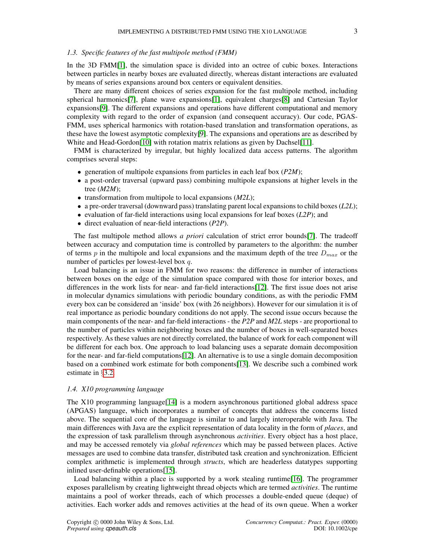#### *1.3. Specific features of the fast multipole method (FMM)*

In the 3D FMM[\[1\]](#page-15-0), the simulation space is divided into an octree of cubic boxes. Interactions between particles in nearby boxes are evaluated directly, whereas distant interactions are evaluated by means of series expansions around box centers or equivalent densities.

There are many different choices of series expansion for the fast multipole method, including spherical harmonics[\[7\]](#page-15-6), plane wave expansions[\[1\]](#page-15-0), equivalent charges[\[8\]](#page-15-7) and Cartesian Taylor expansions[\[9\]](#page-15-8). The different expansions and operations have different computational and memory complexity with regard to the order of expansion (and consequent accuracy). Our code, PGAS-FMM, uses spherical harmonics with rotation-based translation and transformation operations, as these have the lowest asymptotic complexity[\[9\]](#page-15-8). The expansions and operations are as described by White and Head-Gordon<sup>[\[10\]](#page-15-9)</sup> with rotation matrix relations as given by Dachsel<sup>[\[11\]](#page-15-10)</sup>.

FMM is characterized by irregular, but highly localized data access patterns. The algorithm comprises several steps:

- generation of multipole expansions from particles in each leaf box (*P2M*);
- a post-order traversal (upward pass) combining multipole expansions at higher levels in the tree (*M2M*);
- transformation from multipole to local expansions (*M2L*);
- a pre-order traversal (downward pass) translating parent local expansions to child boxes (*L2L*);
- evaluation of far-field interactions using local expansions for leaf boxes (*L2P*); and
- direct evaluation of near-field interactions (*P2P*).

The fast multipole method allows *a priori* calculation of strict error bounds[\[7\]](#page-15-6). The tradeoff between accuracy and computation time is controlled by parameters to the algorithm: the number of terms p in the multipole and local expansions and the maximum depth of the tree  $D_{max}$  or the number of particles per lowest-level box q.

Load balancing is an issue in FMM for two reasons: the difference in number of interactions between boxes on the edge of the simulation space compared with those for interior boxes, and differences in the work lists for near- and far-field interactions[\[12\]](#page-15-11). The first issue does not arise in molecular dynamics simulations with periodic boundary conditions, as with the periodic FMM every box can be considered an 'inside' box (with 26 neighbors). However for our simulation it is of real importance as periodic boundary conditions do not apply. The second issue occurs because the main components of the near- and far-field interactions - the *P2P* and *M2L* steps - are proportional to the number of particles within neighboring boxes and the number of boxes in well-separated boxes respectively. As these values are not directly correlated, the balance of work for each component will be different for each box. One approach to load balancing uses a separate domain decomposition for the near- and far-field computations[\[12\]](#page-15-11). An alternative is to use a single domain decomposition based on a combined work estimate for both components[\[13\]](#page-15-12). We describe such a combined work estimate in §[3.2.](#page-4-0)

#### *1.4. X10 programming language*

The X10 programming language[\[14\]](#page-15-13) is a modern asynchronous partitioned global address space (APGAS) language, which incorporates a number of concepts that address the concerns listed above. The sequential core of the language is similar to and largely interoperable with Java. The main differences with Java are the explicit representation of data locality in the form of *places*, and the expression of task parallelism through asynchronous *activities*. Every object has a host place, and may be accessed remotely via *global references* which may be passed between places. Active messages are used to combine data transfer, distributed task creation and synchronization. Efficient complex arithmetic is implemented through *structs*, which are headerless datatypes supporting inlined user-definable operations[\[15\]](#page-15-14).

Load balancing within a place is supported by a work stealing runtime[\[16\]](#page-15-15). The programmer exposes parallelism by creating lightweight thread objects which are termed *activities*. The runtime maintains a pool of worker threads, each of which processes a double-ended queue (deque) of activities. Each worker adds and removes activities at the head of its own queue. When a worker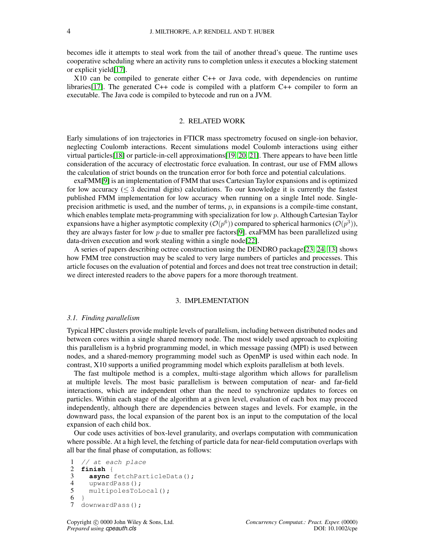becomes idle it attempts to steal work from the tail of another thread's queue. The runtime uses cooperative scheduling where an activity runs to completion unless it executes a blocking statement or explicit yield[\[17\]](#page-15-16).

X10 can be compiled to generate either C++ or Java code, with dependencies on runtime libraries<sup>[\[17\]](#page-15-16)</sup>. The generated  $C_{++}$  code is compiled with a platform  $C_{++}$  compiler to form an executable. The Java code is compiled to bytecode and run on a JVM.

#### 2. RELATED WORK

Early simulations of ion trajectories in FTICR mass spectrometry focused on single-ion behavior, neglecting Coulomb interactions. Recent simulations model Coulomb interactions using either virtual particles[\[18\]](#page-15-17) or particle-in-cell approximations[\[19,](#page-15-18) [20,](#page-15-19) [21\]](#page-15-20). There appears to have been little consideration of the accuracy of electrostatic force evaluation. In contrast, our use of FMM allows the calculation of strict bounds on the truncation error for both force and potential calculations.

exaFMM[\[9\]](#page-15-8) is an implementation of FMM that uses Cartesian Taylor expansions and is optimized for low accuracy  $(\leq 3$  decimal digits) calculations. To our knowledge it is currently the fastest published FMM implementation for low accuracy when running on a single Intel node. Singleprecision arithmetic is used, and the number of terms,  $p$ , in expansions is a compile-time constant, which enables template meta-programming with specialization for low p. Although Cartesian Taylor expansions have a higher asymptotic complexity  $(\mathcal{O}(p^6))$  compared to spherical harmonics  $(\mathcal{O}(p^3)),$ they are always faster for low  $p$  due to smaller pre factors [\[9\]](#page-15-8). exaFMM has been parallelized using data-driven execution and work stealing within a single node[\[22\]](#page-15-21).

A series of papers describing octree construction using the DENDRO package[\[23,](#page-16-0) [24,](#page-16-1) [13\]](#page-15-12) shows how FMM tree construction may be scaled to very large numbers of particles and processes. This article focuses on the evaluation of potential and forces and does not treat tree construction in detail; we direct interested readers to the above papers for a more thorough treatment.

#### 3. IMPLEMENTATION

#### *3.1. Finding parallelism*

Typical HPC clusters provide multiple levels of parallelism, including between distributed nodes and between cores within a single shared memory node. The most widely used approach to exploiting this parallelism is a hybrid programming model, in which message passing (MPI) is used between nodes, and a shared-memory programming model such as OpenMP is used within each node. In contrast, X10 supports a unified programming model which exploits parallelism at both levels.

The fast multipole method is a complex, multi-stage algorithm which allows for parallelism at multiple levels. The most basic parallelism is between computation of near- and far-field interactions, which are independent other than the need to synchronize updates to forces on particles. Within each stage of the algorithm at a given level, evaluation of each box may proceed independently, although there are dependencies between stages and levels. For example, in the downward pass, the local expansion of the parent box is an input to the computation of the local expansion of each child box.

Our code uses activities of box-level granularity, and overlaps computation with communication where possible. At a high level, the fetching of particle data for near-field computation overlaps with all bar the final phase of computation, as follows:

```
\frac{1}{2} // at each place<br>2 finish {
2 finish {
3 async fetchParticleData();<br>4 upwardPass();
4 upwardPass();<br>5 multipolesToL
5 multipolesToLocal();<br>6 }
   \rightarrow7 downwardPass();
```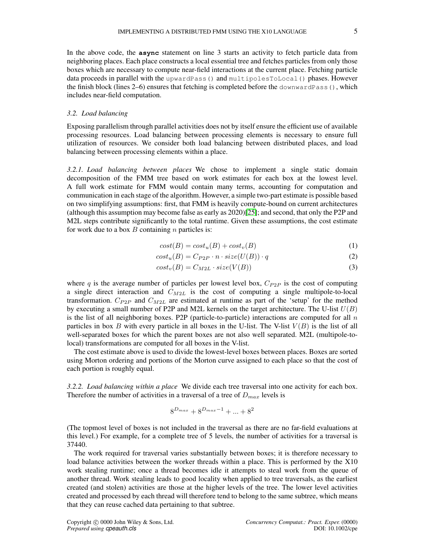In the above code, the **async** statement on line 3 starts an activity to fetch particle data from neighboring places. Each place constructs a local essential tree and fetches particles from only those boxes which are necessary to compute near-field interactions at the current place. Fetching particle data proceeds in parallel with the upwardPass() and multipolesToLocal() phases. However the finish block (lines 2–6) ensures that fetching is completed before the downwardPass(), which includes near-field computation.

#### <span id="page-4-0"></span>*3.2. Load balancing*

Exposing parallelism through parallel activities does not by itself ensure the efficient use of available processing resources. Load balancing between processing elements is necessary to ensure full utilization of resources. We consider both load balancing between distributed places, and load balancing between processing elements within a place.

*3.2.1. Load balancing between places* We chose to implement a single static domain decomposition of the FMM tree based on work estimates for each box at the lowest level. A full work estimate for FMM would contain many terms, accounting for computation and communication in each stage of the algorithm. However, a simple two-part estimate is possible based on two simplifying assumptions: first, that FMM is heavily compute-bound on current architectures (although this assumption may become false as early as 2020)[\[25\]](#page-16-2); and second, that only the P2P and M2L steps contribute significantly to the total runtime. Given these assumptions, the cost estimate for work due to a box  $B$  containing  $n$  particles is:

$$
cost(B) = cost_u(B) + cost_v(B)
$$
\n(1)

$$
cost_u(B) = C_{P2P} \cdot n \cdot size(U(B)) \cdot q \tag{2}
$$

$$
cost_v(B) = C_{M2L} \cdot size(V(B))
$$
\n(3)

where q is the average number of particles per lowest level box,  $C_{P2P}$  is the cost of computing a single direct interaction and  $C_{M2L}$  is the cost of computing a single multipole-to-local transformation.  $C_{P2P}$  and  $C_{M2L}$  are estimated at runtime as part of the 'setup' for the method by executing a small number of P2P and M2L kernels on the target architecture. The U-list  $U(B)$ is the list of all neighboring boxes. P2P (particle-to-particle) interactions are computed for all  $n$ particles in box B with every particle in all boxes in the U-list. The V-list  $V(B)$  is the list of all well-separated boxes for which the parent boxes are not also well separated. M2L (multipole-tolocal) transformations are computed for all boxes in the V-list.

The cost estimate above is used to divide the lowest-level boxes between places. Boxes are sorted using Morton ordering and portions of the Morton curve assigned to each place so that the cost of each portion is roughly equal.

*3.2.2. Load balancing within a place* We divide each tree traversal into one activity for each box. Therefore the number of activities in a traversal of a tree of  $D_{max}$  levels is

$$
8^{D_{max}} + 8^{D_{max}-1} + \dots + 8^2
$$

(The topmost level of boxes is not included in the traversal as there are no far-field evaluations at this level.) For example, for a complete tree of 5 levels, the number of activities for a traversal is 37440.

The work required for traversal varies substantially between boxes; it is therefore necessary to load balance activities between the worker threads within a place. This is performed by the X10 work stealing runtime; once a thread becomes idle it attempts to steal work from the queue of another thread. Work stealing leads to good locality when applied to tree traversals, as the earliest created (and stolen) activities are those at the higher levels of the tree. The lower level activities created and processed by each thread will therefore tend to belong to the same subtree, which means that they can reuse cached data pertaining to that subtree.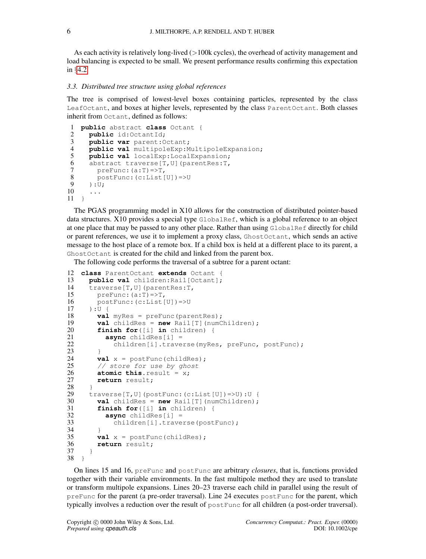As each activity is relatively long-lived  $(>100k$  cycles), the overhead of activity management and load balancing is expected to be small. We present performance results confirming this expectation in §[4.2.](#page-10-0)

#### <span id="page-5-0"></span>*3.3. Distributed tree structure using global references*

The tree is comprised of lowest-level boxes containing particles, represented by the class LeafOctant, and boxes at higher levels, represented by the class ParentOctant. Both classes inherit from Octant, defined as follows:

```
1 public abstract class Octant {
 2 public id:OctantId;<br>3 public var parent:0
 3 public var parent:Octant;
 4 public val multipoleExp:MultipoleExpansion;<br>5 public val localExp:LocalExpansion;
         public val localExp: LocalExpansion;
 6 abstract traverse[T, U](parentRes: \overline{z},<br>7 preFunc: (a:\overline{z}) = > \overline{z}.
 7 preFunc:(a:T)=>T,<br>8 postFunc:(c:List)
 8 postFunc: (c:List[U])=\gt;U<br>9 \cdot UI
\begin{array}{c} 9 \\ 10 \\ \dots \end{array}10 ...
11 \rightarrow
```
The PGAS programming model in X10 allows for the construction of distributed pointer-based data structures. X10 provides a special type  $G$ lobalRef, which is a global reference to an object at one place that may be passed to any other place. Rather than using GlobalRef directly for child or parent references, we use it to implement a proxy class, GhostOctant, which sends an active message to the host place of a remote box. If a child box is held at a different place to its parent, a GhostOctant is created for the child and linked from the parent box.

The following code performs the traversal of a subtree for a parent octant:

```
12 class ParentOctant extends Octant {
13 public val children: Rail [Octant];<br>14 traverse [T. U] (parentRes: T.
14 traverse[T,U](parentRes:T,<br>15 preFunc: (a:T) \Rightarrow T,
15 \text{preFunc: (a:T) =>T,}<br>16 \text{postFunc: (c:List)}16 postFunc:(c:List[U])=>U
17 ): U {<br>18 val
18 val myRes = preFunc(parentRes);<br>19 val childRes = new Rail[Tl(numC
19 val childRes = new Rail[T](numChildren);<br>20 finish for([i] in children) {
20 finish for([i] in children) {<br>21 async childRes[i] =
21 async childRes[i] =<br>22 children[i].trave
                  children[i].traverse(myRes, preFunc, postFunc);
\begin{array}{ccc} 23 & & & \frac{1}{24} \\ 24 & & & \end{array}24 val x = postFunc(childRes);<br>25 // store for use by ghost
25 // store for use by ghost<br>26 atomic this.result = x;
26 atomic this.result = x;<br>27 return result;
            return result;
\frac{28}{29}29 traverse[T,U](postFunc:(c:List[U])=>U):U {<br>30 val childRes = new Rail[T](numChildren);
30 val childRes = new Rail[T](numChildren);
31 finish for([i] in children) {<br>32 async childRes[i] =
32 async childRes[i] =<br>33 children[i].trave
                  children[i].traverse(postFunc);
\frac{34}{35}35 val x = postFunc(childRes);<br>36 return result:
            return result;
37 }
38 }
```
On lines 15 and 16, preFunc and postFunc are arbitrary *closures*, that is, functions provided together with their variable environments. In the fast multipole method they are used to translate or transform multipole expansions. Lines 20–23 traverse each child in parallel using the result of preFunc for the parent (a pre-order traversal). Line 24 executes postFunc for the parent, which typically involves a reduction over the result of postFunc for all children (a post-order traversal).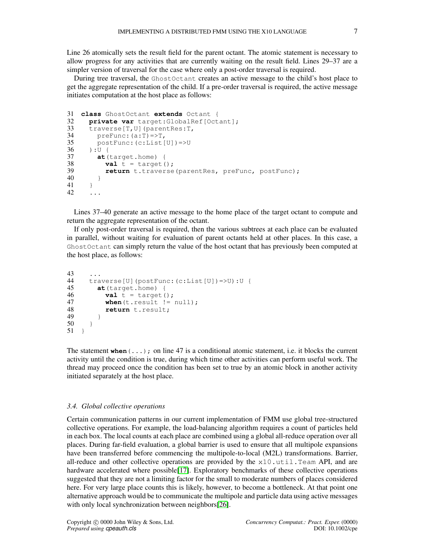Line 26 atomically sets the result field for the parent octant. The atomic statement is necessary to allow progress for any activities that are currently waiting on the result field. Lines 29–37 are a simpler version of traversal for the case where only a post-order traversal is required.

During tree traversal, the GhostOctant creates an active message to the child's host place to get the aggregate representation of the child. If a pre-order traversal is required, the active message initiates computation at the host place as follows:

```
31 class GhostOctant extends Octant {
32 private var target:GlobalRef[Octant];
33 traverse[T, U](parentRes: T,<br>34 preFunc: (a \cdot T) = 5T.
34 preFunc: (a:T) = >T,<br>35 postFunc: (c:I_1]ist
35 postFunc:(c:List[U])=>U<br>36 ):U {
36 ): U {<br>37 at (
37 at (target.home) {<br>38 val t = \text{target} (
38 val t = \text{target});<br>39 return t, traverse
           return t.traverse(parentRes, preFunc, postFunc);
\begin{array}{cc} 40 \\ 41 \end{array}\frac{41}{42}42 ...
```
Lines 37–40 generate an active message to the home place of the target octant to compute and return the aggregate representation of the octant.

If only post-order traversal is required, then the various subtrees at each place can be evaluated in parallel, without waiting for evaluation of parent octants held at other places. In this case, a GhostOctant can simply return the value of the host octant that has previously been computed at the host place, as follows:

```
43 ...
44 traverse[U](postFunc:(c:List[U])=>U):U {<br>45 at (target.home) {
45 at (target.home) {<br>46 val t = \text{target} (
46 val t = \text{target} ();<br>47 when (t + \text{result}) =when(t.\text{result} != null);48 return t.result;
49 }
50 }
51 }
```
The statement when  $(\ldots)$ ; on line 47 is a conditional atomic statement, i.e. it blocks the current activity until the condition is true, during which time other activities can perform useful work. The thread may proceed once the condition has been set to true by an atomic block in another activity initiated separately at the host place.

#### <span id="page-6-0"></span>*3.4. Global collective operations*

Certain communication patterns in our current implementation of FMM use global tree-structured collective operations. For example, the load-balancing algorithm requires a count of particles held in each box. The local counts at each place are combined using a global all-reduce operation over all places. During far-field evaluation, a global barrier is used to ensure that all multipole expansions have been transferred before commencing the multipole-to-local (M2L) transformations. Barrier, all-reduce and other collective operations are provided by the  $x10$ .util.Team API, and are hardware accelerated where possible[\[17\]](#page-15-16). Exploratory benchmarks of these collective operations suggested that they are not a limiting factor for the small to moderate numbers of places considered here. For very large place counts this is likely, however, to become a bottleneck. At that point one alternative approach would be to communicate the multipole and particle data using active messages with only local synchronization between neighbors[\[26\]](#page-16-3).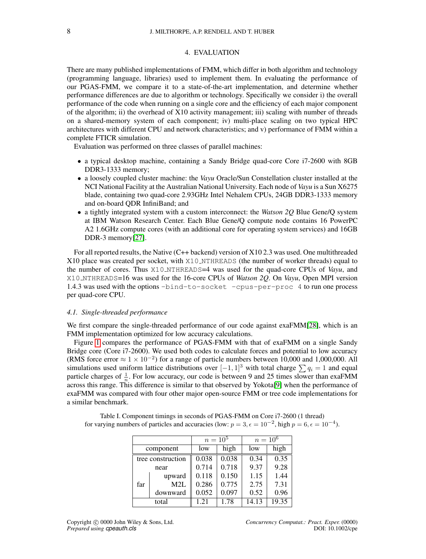#### 4. EVALUATION

There are many published implementations of FMM, which differ in both algorithm and technology (programming language, libraries) used to implement them. In evaluating the performance of our PGAS-FMM, we compare it to a state-of-the-art implementation, and determine whether performance differences are due to algorithm or technology. Specifically we consider i) the overall performance of the code when running on a single core and the efficiency of each major component of the algorithm; ii) the overhead of X10 activity management; iii) scaling with number of threads on a shared-memory system of each component; iv) multi-place scaling on two typical HPC architectures with different CPU and network characteristics; and v) performance of FMM within a complete FTICR simulation.

Evaluation was performed on three classes of parallel machines:

- a typical desktop machine, containing a Sandy Bridge quad-core Core i7-2600 with 8GB DDR3-1333 memory;
- a loosely coupled cluster machine: the *Vayu* Oracle/Sun Constellation cluster installed at the NCI National Facility at the Australian National University. Each node of *Vayu* is a Sun X6275 blade, containing two quad-core 2.93GHz Intel Nehalem CPUs, 24GB DDR3-1333 memory and on-board QDR InfiniBand; and
- a tightly integrated system with a custom interconnect: the *Watson 2Q* Blue Gene/Q system at IBM Watson Research Center. Each Blue Gene/Q compute node contains 16 PowerPC A2 1.6GHz compute cores (with an additional core for operating system services) and 16GB DDR-3 memory[\[27\]](#page-16-4).

For all reported results, the Native (C++ backend) version of X10 2.3 was used. One multithreaded X10 place was created per socket, with X10 NTHREADS (the number of worker threads) equal to the number of cores. Thus X10 NTHREADS=4 was used for the quad-core CPUs of *Vayu*, and X10 NTHREADS=16 was used for the 16-core CPUs of *Watson 2Q*. On *Vayu*, Open MPI version 1.4.3 was used with the options -bind-to-socket -cpus-per-proc 4 to run one process per quad-core CPU.

#### <span id="page-7-1"></span>*4.1. Single-threaded performance*

We first compare the single-threaded performance of our code against exaFMM[\[28\]](#page-16-5), which is an FMM implementation optimized for low accuracy calculations.

Figure [1](#page-8-0) compares the performance of PGAS-FMM with that of exaFMM on a single Sandy Bridge core (Core i7-2600). We used both codes to calculate forces and potential to low accuracy (RMS force error  $\approx 1 \times 10^{-2}$ ) for a range of particle numbers between 10,000 and 1,000,000. All simulations used uniform lattice distributions over  $[-1, 1]^3$  with total charge  $\sum q_i = 1$  and equal particle charges of  $\frac{1}{n}$ . For low accuracy, our code is between 9 and 25 times slower than exaFMM across this range. This difference is similar to that observed by Yokota[\[9\]](#page-15-8) when the performance of exaFMM was compared with four other major open-source FMM or tree code implementations for a similar benchmark.

|                   |          | $n = 10^5$ |       | $n = 10^6$ |       |
|-------------------|----------|------------|-------|------------|-------|
| component         |          | low        | high  | low        | high  |
| tree construction |          | 0.038      | 0.038 | 0.34       | 0.35  |
| near              |          | 0.714      | 0.718 | 9.37       | 9.28  |
| far               | upward   | 0.118      | 0.150 | 1.15       | 1.44  |
|                   | M2L      | 0.286      | 0.775 | 2.75       | 7.31  |
|                   | downward | 0.052      | 0.097 | 0.52       | 0.96  |
| total             |          | 1.21       | 1.78  | 14.13      | 19.35 |

<span id="page-7-0"></span>Table I. Component timings in seconds of PGAS-FMM on Core i7-2600 (1 thread) for varying numbers of particles and accuracies (low:  $p = 3$ ,  $\epsilon = 10^{-2}$ , high  $p = 6$ ,  $\epsilon = 10^{-4}$ ).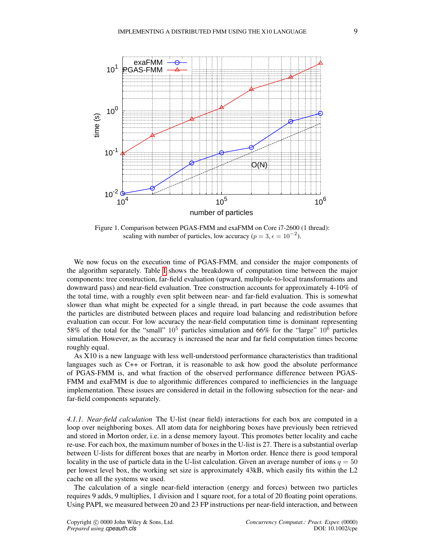<span id="page-8-0"></span>

Figure 1. Comparison between PGAS-FMM and exaFMM on Core i7-2600 (1 thread): scaling with number of particles, low accuracy ( $p = 3, \epsilon = 10^{-2}$ ).

We now focus on the execution time of PGAS-FMM, and consider the major components of the algorithm separately. Table [I](#page-7-0) shows the breakdown of computation time between the major components: tree construction, far-field evaluation (upward, multipole-to-local transformations and downward pass) and near-field evaluation. Tree construction accounts for approximately 4-10% of the total time, with a roughly even split between near- and far-field evaluation. This is somewhat slower than what might be expected for a single thread, in part because the code assumes that the particles are distributed between places and require load balancing and redistribution before evaluation can occur. For low accuracy the near-field computation time is dominant representing 58% of the total for the "small"  $10^5$  particles simulation and 66% for the "large"  $10^6$  particles simulation. However, as the accuracy is increased the near and far field computation times become roughly equal.

As X10 is a new language with less well-understood performance characteristics than traditional languages such as C++ or Fortran, it is reasonable to ask how good the absolute performance of PGAS-FMM is, and what fraction of the observed performance difference between PGAS-FMM and exaFMM is due to algorithmic differences compared to inefficiencies in the language implementation. These issues are considered in detail in the following subsection for the near- and far-field components separately.

*4.1.1. Near-field calculation* The U-list (near field) interactions for each box are computed in a loop over neighboring boxes. All atom data for neighboring boxes have previously been retrieved and stored in Morton order, i.e. in a dense memory layout. This promotes better locality and cache re-use. For each box, the maximum number of boxes in the U-list is 27. There is a substantial overlap between U-lists for different boxes that are nearby in Morton order. Hence there is good temporal locality in the use of particle data in the U-list calculation. Given an average number of ions  $q = 50$ per lowest level box, the working set size is approximately 43kB, which easily fits within the L2 cache on all the systems we used.

The calculation of a single near-field interaction (energy and forces) between two particles requires 9 adds, 9 multiplies, 1 division and 1 square root, for a total of 20 floating point operations. Using PAPI, we measured between 20 and 23 FP instructions per near-field interaction, and between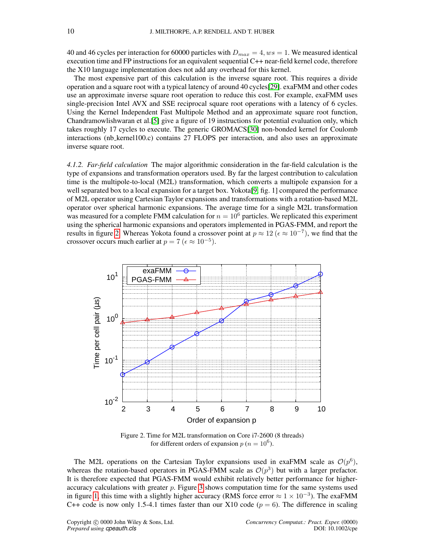40 and 46 cycles per interaction for 60000 particles with  $D_{max} = 4$ ,  $ws = 1$ . We measured identical execution time and FP instructions for an equivalent sequential C++ near-field kernel code, therefore the X10 language implementation does not add any overhead for this kernel.

The most expensive part of this calculation is the inverse square root. This requires a divide operation and a square root with a typical latency of around 40 cycles[\[29\]](#page-16-6). exaFMM and other codes use an approximate inverse square root operation to reduce this cost. For example, exaFMM uses single-precision Intel AVX and SSE reciprocal square root operations with a latency of 6 cycles. Using the Kernel Independent Fast Multipole Method and an approximate square root function, Chandramowlishwaran et al.[\[5\]](#page-15-4) give a figure of 19 instructions for potential evaluation only, which takes roughly 17 cycles to execute. The generic GROMACS[\[30\]](#page-16-7) non-bonded kernel for Coulomb interactions (nb kernel100.c) contains 27 FLOPS per interaction, and also uses an approximate inverse square root.

*4.1.2. Far-field calculation* The major algorithmic consideration in the far-field calculation is the type of expansions and transformation operators used. By far the largest contribution to calculation time is the multipole-to-local (M2L) transformation, which converts a multipole expansion for a well separated box to a local expansion for a target box. Yokota[\[9,](#page-15-8) fig. 1] compared the performance of M2L operator using Cartesian Taylor expansions and transformations with a rotation-based M2L operator over spherical harmonic expansions. The average time for a single M2L transformation was measured for a complete FMM calculation for  $n = 10^6$  particles. We replicated this experiment using the spherical harmonic expansions and operators implemented in PGAS-FMM, and report the results in figure [2.](#page-9-0) Whereas Yokota found a crossover point at  $p \approx 12$  ( $\epsilon \approx 10^{-7}$ ), we find that the crossover occurs much earlier at  $p = 7$  ( $\epsilon \approx 10^{-5}$ ).

<span id="page-9-0"></span>

Figure 2. Time for M2L transformation on Core i7-2600 (8 threads) for different orders of expansion  $p(n = 10^6)$ .

The M2L operations on the Cartesian Taylor expansions used in exaFMM scale as  $\mathcal{O}(p^6)$ , whereas the rotation-based operators in PGAS-FMM scale as  $\mathcal{O}(p^3)$  but with a larger prefactor. It is therefore expected that PGAS-FMM would exhibit relatively better performance for higheraccuracy calculations with greater  $p$ . Figure [3](#page-10-1) shows computation time for the same systems used in figure [1,](#page-8-0) this time with a slightly higher accuracy (RMS force error  $\approx 1 \times 10^{-3}$ ). The exaFMM C++ code is now only 1.5-4.1 times faster than our X10 code ( $p = 6$ ). The difference in scaling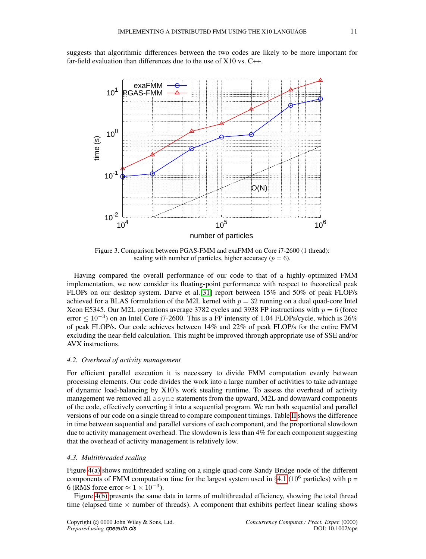suggests that algorithmic differences between the two codes are likely to be more important for far-field evaluation than differences due to the use of X10 vs. C++.

<span id="page-10-1"></span>

Figure 3. Comparison between PGAS-FMM and exaFMM on Core i7-2600 (1 thread): scaling with number of particles, higher accuracy ( $p = 6$ ).

Having compared the overall performance of our code to that of a highly-optimized FMM implementation, we now consider its floating-point performance with respect to theoretical peak FLOPs on our desktop system. Darve et al.[\[31\]](#page-16-8) report between 15% and 50% of peak FLOP/s achieved for a BLAS formulation of the M2L kernel with  $p = 32$  running on a dual quad-core Intel Xeon E5345. Our M2L operations average 3782 cycles and 3938 FP instructions with  $p = 6$  (force error  $\leq 10^{-3}$ ) on an Intel Core i7-2600. This is a FP intensity of 1.04 FLOPs/cycle, which is 26% of peak FLOP/s. Our code achieves between 14% and 22% of peak FLOP/s for the entire FMM excluding the near-field calculation. This might be improved through appropriate use of SSE and/or AVX instructions.

#### <span id="page-10-0"></span>*4.2. Overhead of activity management*

For efficient parallel execution it is necessary to divide FMM computation evenly between processing elements. Our code divides the work into a large number of activities to take advantage of dynamic load-balancing by X10's work stealing runtime. To assess the overhead of activity management we removed all async statements from the upward, M2L and downward components of the code, effectively converting it into a sequential program. We ran both sequential and parallel versions of our code on a single thread to compare component timings. Table [II](#page-11-0) shows the difference in time between sequential and parallel versions of each component, and the proportional slowdown due to activity management overhead. The slowdown is less than 4% for each component suggesting that the overhead of activity management is relatively low.

#### *4.3. Multithreaded scaling*

Figure [4\(a\)](#page-11-1) shows multithreaded scaling on a single quad-core Sandy Bridge node of the different components of FMM computation time for the largest system used in  $\S 4.1$  $\S 4.1$  (10<sup>6</sup> particles) with p = 6 (RMS force error  $\approx 1 \times 10^{-3}$ ).

Figure [4\(b\)](#page-11-2) presents the same data in terms of multithreaded efficiency, showing the total thread time (elapsed time  $\times$  number of threads). A component that exhibits perfect linear scaling shows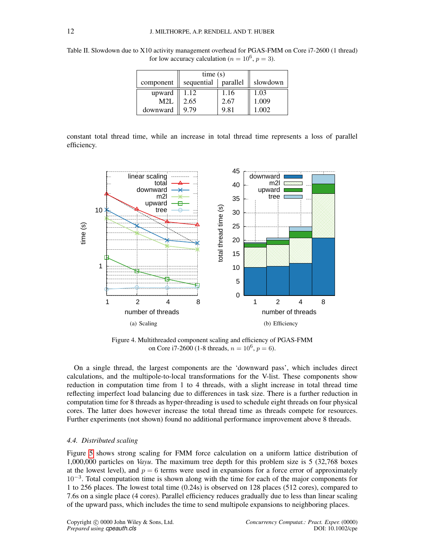|           | time(s)    |          |          |
|-----------|------------|----------|----------|
| component | sequential | parallel | slowdown |
| upward    | 1.12       | 1.16     | 1.03     |
| M2L       | 2.65       | 2.67     | 1.009    |
| downward  | 9.79       | 9.81     | 1.002    |

<span id="page-11-0"></span>Table II. Slowdown due to X10 activity management overhead for PGAS-FMM on Core i7-2600 (1 thread) for low accuracy calculation ( $n = 10^6$ ,  $p = 3$ ).

constant total thread time, while an increase in total thread time represents a loss of parallel efficiency.

<span id="page-11-1"></span>

<span id="page-11-2"></span>Figure 4. Multithreaded component scaling and efficiency of PGAS-FMM on Core i7-2600 (1-8 threads,  $n = 10^6$ ,  $p = 6$ ).

On a single thread, the largest components are the 'downward pass', which includes direct calculations, and the multipole-to-local transformations for the V-list. These components show reduction in computation time from 1 to 4 threads, with a slight increase in total thread time reflecting imperfect load balancing due to differences in task size. There is a further reduction in computation time for 8 threads as hyper-threading is used to schedule eight threads on four physical cores. The latter does however increase the total thread time as threads compete for resources. Further experiments (not shown) found no additional performance improvement above 8 threads.

### *4.4. Distributed scaling*

Figure [5](#page-12-0) shows strong scaling for FMM force calculation on a uniform lattice distribution of 1,000,000 particles on *Vayu*. The maximum tree depth for this problem size is 5 (32,768 boxes at the lowest level), and  $p = 6$  terms were used in expansions for a force error of approximately 10<sup>-3</sup>. Total computation time is shown along with the time for each of the major components for 1 to 256 places. The lowest total time (0.24s) is observed on 128 places (512 cores), compared to 7.6s on a single place (4 cores). Parallel efficiency reduces gradually due to less than linear scaling of the upward pass, which includes the time to send multipole expansions to neighboring places.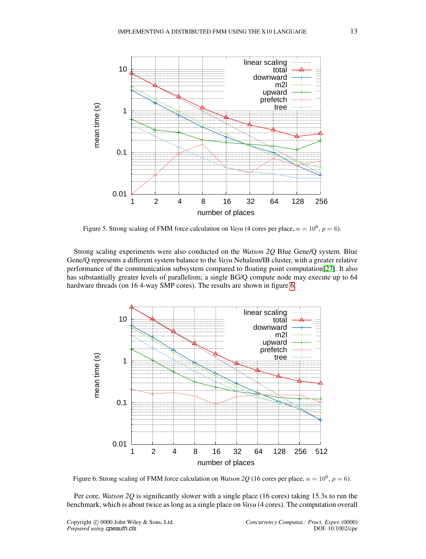<span id="page-12-0"></span>

Figure 5. Strong scaling of FMM force calculation on *Vayu* (4 cores per place,  $n = 10^6$ ,  $p = 6$ ).

Strong scaling experiments were also conducted on the *Watson 2Q* Blue Gene/Q system. Blue Gene/Q represents a different system balance to the *Vayu* Nehalem/IB cluster, with a greater relative performance of the communication subsystem compared to floating point computation[\[27\]](#page-16-4). It also has substantially greater levels of parallelism; a single BG/Q compute node may execute up to 64 hardware threads (on 16 4-way SMP cores). The results are shown in figure [6.](#page-12-1)

<span id="page-12-1"></span>

Figure 6. Strong scaling of FMM force calculation on *Watson 2Q* (16 cores per place,  $n = 10^6$ ,  $p = 6$ ).

Per core, *Watson 2Q* is significantly slower with a single place (16 cores) taking 15.3s to run the benchmark, which is about twice as long as a single place on *Vayu* (4 cores). The computation overall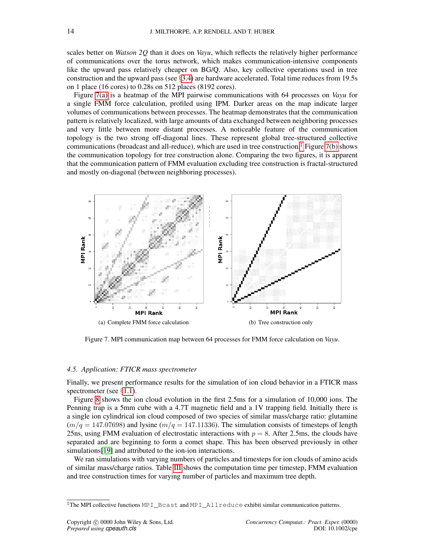scales better on *Watson 2Q* than it does on *Vayu*, which reflects the relatively higher performance of communications over the torus network, which makes communication-intensive components like the upward pass relatively cheaper on BG/Q. Also, key collective operations used in tree construction and the upward pass (see §[3.4\)](#page-6-0) are hardware accelerated. Total time reduces from 19.5s on 1 place (16 cores) to 0.28s on 512 places (8192 cores).

Figure [7\(a\)](#page-13-0) is a heatmap of the MPI pairwise communications with 64 processes on *Vayu* for a single FMM force calculation, profiled using IPM. Darker areas on the map indicate larger volumes of communications between processes. The heatmap demonstrates that the communication pattern is relatively localized, with large amounts of data exchanged between neighboring processes and very little between more distant processes. A noticeable feature of the communication topology is the two strong off-diagonal lines. These represent global tree-structured collective communications (broadcast and all-reduce), which are used in tree construction.<sup> $\ddagger$ </sup> Figure [7\(b\)](#page-13-2) shows the communication topology for tree construction alone. Comparing the two figures, it is apparent that the communication pattern of FMM evaluation excluding tree construction is fractal-structured and mostly on-diagonal (between neighboring processes).

<span id="page-13-0"></span>

<span id="page-13-2"></span>Figure 7. MPI communication map between 64 processes for FMM force calculation on *Vayu*.

#### *4.5. Application: FTICR mass spectrometer*

Finally, we present performance results for the simulation of ion cloud behavior in a FTICR mass spectrometer (see  $\S 1.1$ ).

Figure [8](#page-14-1) shows the ion cloud evolution in the first 2.5ms for a simulation of 10,000 ions. The Penning trap is a 5mm cube with a 4.7T magnetic field and a 1V trapping field. Initially there is a single ion cylindrical ion cloud composed of two species of similar mass/charge ratio: glutamine  $(m/q = 147.07698)$  and lysine  $(m/q = 147.11336)$ . The simulation consists of timesteps of length 25ns, using FMM evaluation of electrostatic interactions with  $p = 8$ . After 2.5ms, the clouds have separated and are beginning to form a comet shape. This has been observed previously in other simulations[\[19\]](#page-15-18) and attributed to the ion-ion interactions.

We ran simulations with varying numbers of particles and timesteps for ion clouds of amino acids of similar mass/charge ratios. Table [III](#page-14-2) shows the computation time per timestep, FMM evaluation and tree construction times for varying number of particles and maximum tree depth.

<span id="page-13-1"></span><sup>‡</sup>The MPI collective functions MPI\_Bcast and MPI\_Allreduce exhibit similar communication patterns.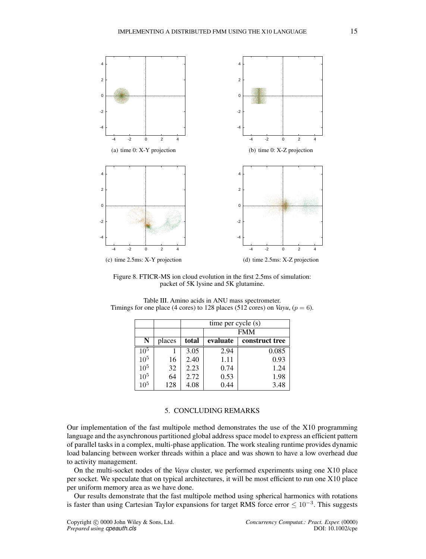<span id="page-14-1"></span>

(d) time 2.5ms: X-Z projection

Figure 8. FTICR-MS ion cloud evolution in the first 2.5ms of simulation: packet of 5K lysine and 5K glutamine.

|                 |        | time per cycle (s) |            |                |  |  |
|-----------------|--------|--------------------|------------|----------------|--|--|
|                 |        |                    | <b>FMM</b> |                |  |  |
| N               | places | total              | evaluate   | construct tree |  |  |
| $10^5$          |        | 3.05               | 2.94       | 0.085          |  |  |
| 10 <sup>5</sup> | 16     | 2.40               | 1.11       | 0.93           |  |  |
| 10 <sup>5</sup> | 32     | 2.23               | 0.74       | 1.24           |  |  |
| 10 <sup>5</sup> | 64     | 2.72               | 0.53       | 1.98           |  |  |
| 10 <sup>5</sup> | 128    | 4.08               | 0.44       | 3.48           |  |  |

<span id="page-14-2"></span>Table III. Amino acids in ANU mass spectrometer. Timings for one place (4 cores) to 128 places (512 cores) on *Vayu*, ( $p = 6$ ).

### 5. CONCLUDING REMARKS

<span id="page-14-0"></span>Our implementation of the fast multipole method demonstrates the use of the X10 programming language and the asynchronous partitioned global address space model to express an efficient pattern of parallel tasks in a complex, multi-phase application. The work stealing runtime provides dynamic load balancing between worker threads within a place and was shown to have a low overhead due to activity management.

On the multi-socket nodes of the *Vayu* cluster, we performed experiments using one X10 place per socket. We speculate that on typical architectures, it will be most efficient to run one X10 place per uniform memory area as we have done.

Our results demonstrate that the fast multipole method using spherical harmonics with rotations is faster than using Cartesian Taylor expansions for target RMS force error  $\leq 10^{-3}$ . This suggests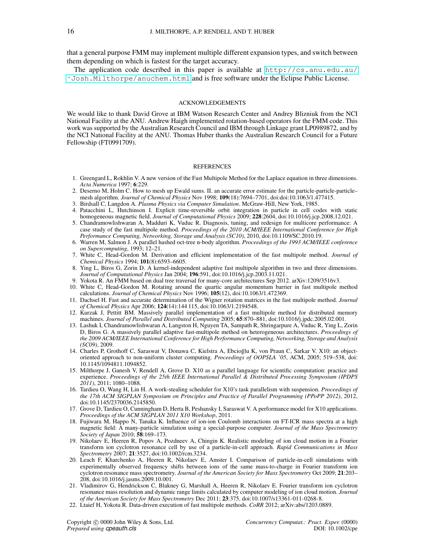that a general purpose FMM may implement multiple different expansion types, and switch between them depending on which is fastest for the target accuracy.

The application code described in this paper is available at  $http://cs.anu.edu.au/$ [˜Josh.Milthorpe/anuchem.html](http://cs.anu.edu.au/~Josh.Milthorpe/anuchem.html) and is free software under the Eclipse Public License.

#### ACKNOWLEDGEMENTS

We would like to thank David Grove at IBM Watson Research Center and Andrey Blizniuk from the NCI National Facility at the ANU. Andrew Haigh implemented rotation-based operators for the FMM code. This work was supported by the Australian Research Council and IBM through Linkage grant LP0989872, and by the NCI National Facility at the ANU. Thomas Huber thanks the Australian Research Council for a Future Fellowship (FT0991709).

#### **REFERENCES**

- <span id="page-15-0"></span>1. Greengard L, Rokhlin V. A new version of the Fast Multipole Method for the Laplace equation in three dimensions. *Acta Numerica* 1997; 6:229.
- <span id="page-15-1"></span>2. Deserno M, Holm C. How to mesh up Ewald sums. II. an accurate error estimate for the particle-particle-particle– mesh algorithm. *Journal of Chemical Physics* Nov 1998; 109(18):7694–7701, doi:doi:10.1063/1.477415.
- <span id="page-15-2"></span>3. Birdsall C, Langdon A. *Plasma Physics via Computer Simulation*. McGraw-Hill, New York, 1985.
- <span id="page-15-3"></span>4. Patacchini L, Hutchinson I. Explicit time-reversible orbit integration in particle in cell codes with static homogeneous magnetic field. *Journal of Computational Physics* 2009; 228:2604, doi:10.1016/j.jcp.2008.12.021.
- <span id="page-15-4"></span>5. Chandramowlishwaran A, Madduri K, Vuduc R. Diagnosis, tuning, and redesign for multicore performance: A case study of the fast multipole method. *Proceedings of the 2010 ACM/IEEE International Conference for High Performance Computing, Networking, Storage and Analysis (SC10)*, 2010, doi:10.1109/SC.2010.19.
- <span id="page-15-5"></span>6. Warren M, Salmon J. A parallel hashed oct-tree n-body algorithm. *Proceedings of the 1993 ACM/IEEE conference on Supercomputing*, 1993; 12–21.
- <span id="page-15-6"></span>7. White C, Head-Gordon M. Derivation and efficient implementation of the fast multipole method. *Journal of Chemical Physics* 1994; 101(8):6593–6605.
- <span id="page-15-7"></span>8. Ying L, Biros G, Zorin D. A kernel-independent adaptive fast multipole algorithm in two and three dimensions. *Journal of Computational Physics* Jan 2004; 196:591, doi:10.1016/j.jcp.2003.11.021.
- <span id="page-15-8"></span>9. Yokota R. An FMM based on dual tree traversal for many-core architectures Sep 2012. arXiv:1209/3516v3.
- <span id="page-15-9"></span>10. White C, Head-Gordon M. Rotating around the quartic angular momentum barrier in fast multipole method calculations. *Journal of Chemical Physics* Nov 1996; 105(12), doi:10.1063/1.472369.
- <span id="page-15-10"></span>11. Dachsel H. Fast and accurate determination of the Wigner rotation matrices in the fast multipole method. *Journal of Chemical Physics* Apr 2006; 124(14):144 115, doi:10.1063/1.2194548.
- <span id="page-15-11"></span>12. Kurzak J, Pettitt BM. Massively parallel implementation of a fast multipole method for distributed memory machines. *Journal of Parallel and Distributed Computing* 2005; 65:870–881, doi:10.1016/j.jpdc.2005.02.001.
- <span id="page-15-12"></span>13. Lashuk I, Chandramowlishwaran A, Langston H, Nguyen TA, Sampath R, Shringarpure A, Vuduc R, Ying L, Zorin D, Biros G. A massively parallel adaptive fast-multipole method on heterogeneous architectures. *Proceedings of the 2009 ACM/IEEE International Conference for High Performance Computing, Networking, Storage and Analysis (SC09)*, 2009.
- <span id="page-15-13"></span>14. Charles P, Grothoff C, Saraswat V, Donawa C, Kielstra A, Ebcioglu K, von Praun C, Sarkar V. X10: an object- ˘ oriented approach to non-uniform cluster computing. *Proceedings of OOPSLA '05*, ACM, 2005; 519–538, doi: 10.1145/1094811.1094852.
- <span id="page-15-14"></span>15. Milthorpe J, Ganesh V, Rendell A, Grove D. X10 as a parallel language for scientific computation: practice and experience. *Proceedings of the 25th IEEE International Parallel & Distributed Processing Symposium (IPDPS 2011)*, 2011; 1080–1088.
- <span id="page-15-15"></span>16. Tardieu O, Wang H, Lin H. A work-stealing scheduler for X10's task parallelism with suspension. *Proceedings of the 17th ACM SIGPLAN Symposium on Principles and Practice of Parallel Programming (PPoPP 2012)*, 2012, doi:10.1145/2370036.2145850.
- <span id="page-15-16"></span>17. Grove D, Tardieu O, Cunningham D, Herta B, Peshansky I, Saraswat V. A performance model for X10 applications. *Proceedings of the ACM SIGPLAN 2011 X10 Workshop*, 2011.
- <span id="page-15-17"></span>18. Fujiwara M, Happo N, Tanaka K. Influence of ion-ion Coulomb interactions on FT-ICR mass spectra at a high magnetic field: A many-particle simulation using a special-purpose computer. *Journal of the Mass Spectrometry Society of Japan* 2010; 58:169–173.
- <span id="page-15-18"></span>19. Nikolaev E, Heeren R, Popov A, Pozdneev A, Chingin K. Realistic modeling of ion cloud motion in a Fourier transform ion cyclotron resonance cell by use of a particle-in-cell approach. *Rapid Communications in Mass Spectrometry* 2007; 21:3527, doi:10.1002/rcm.3234.
- <span id="page-15-19"></span>20. Leach F, Kharchenko A, Heeren R, Nikolaev E, Amster I. Comparison of particle-in-cell simulations with experimentally observed frequency shifts between ions of the same mass-to-charge in Fourier transform ion cyclotron resonance mass spectrometry. *Journal of the American Society for Mass Spectrometry* Oct 2009; 21:203– 208, doi:10.1016/j.jasms.2009.10.001.
- <span id="page-15-20"></span>21. Vladimirov G, Hendrickson C, Blakney G, Marshall A, Heeren R, Nikolaev E. Fourier transform ion cyclotron resonance mass resolution and dynamic range limits calculated by computer modeling of ion cloud motion. *Journal of the American Society for Mass Spectrometry* Dec 2011; 23:375, doi:10.1007/s13361-011-0268-8.
- <span id="page-15-21"></span>22. Ltaief H, Yokota R. Data-driven execution of fast multipole methods. *CoRR* 2012; arXiv:abs/1203.0889.